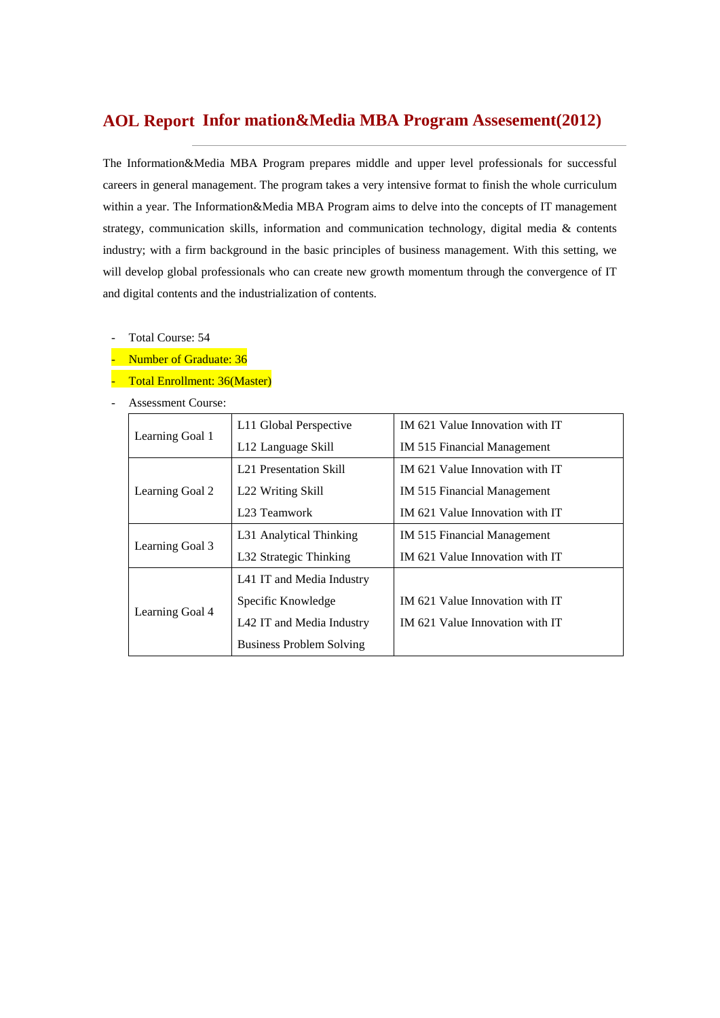# **Infor mation&Media MBA Program Assesement(2012) AOL Report**

The Information&Media MBA Program prepares middle and upper level professionals for successful careers in general management. The program takes a very intensive format to finish the whole curriculum within a year. The Information&Media MBA Program aims to delve into the concepts of IT management strategy, communication skills, information and communication technology, digital media & contents industry; with a firm background in the basic principles of business management. With this setting, we will develop global professionals who can create new growth momentum through the convergence of IT and digital contents and the industrialization of contents.

- Total Course: 54
- Number of Graduate: 36
- Total Enrollment: 36(Master)
- Assessment Course:

| Learning Goal 1 | L11 Global Perspective          | IM 621 Value Innovation with IT |  |  |
|-----------------|---------------------------------|---------------------------------|--|--|
|                 | L <sub>12</sub> Language Skill  | IM 515 Financial Management     |  |  |
|                 | <b>L21 Presentation Skill</b>   | IM 621 Value Innovation with IT |  |  |
| Learning Goal 2 | L22 Writing Skill               | IM 515 Financial Management     |  |  |
|                 | L <sub>23</sub> Teamwork        | IM 621 Value Innovation with IT |  |  |
|                 | L31 Analytical Thinking         | IM 515 Financial Management     |  |  |
| Learning Goal 3 | L32 Strategic Thinking          | IM 621 Value Innovation with IT |  |  |
|                 | L41 IT and Media Industry       |                                 |  |  |
| Learning Goal 4 | Specific Knowledge              | IM 621 Value Innovation with IT |  |  |
|                 | L42 IT and Media Industry       | IM 621 Value Innovation with IT |  |  |
|                 | <b>Business Problem Solving</b> |                                 |  |  |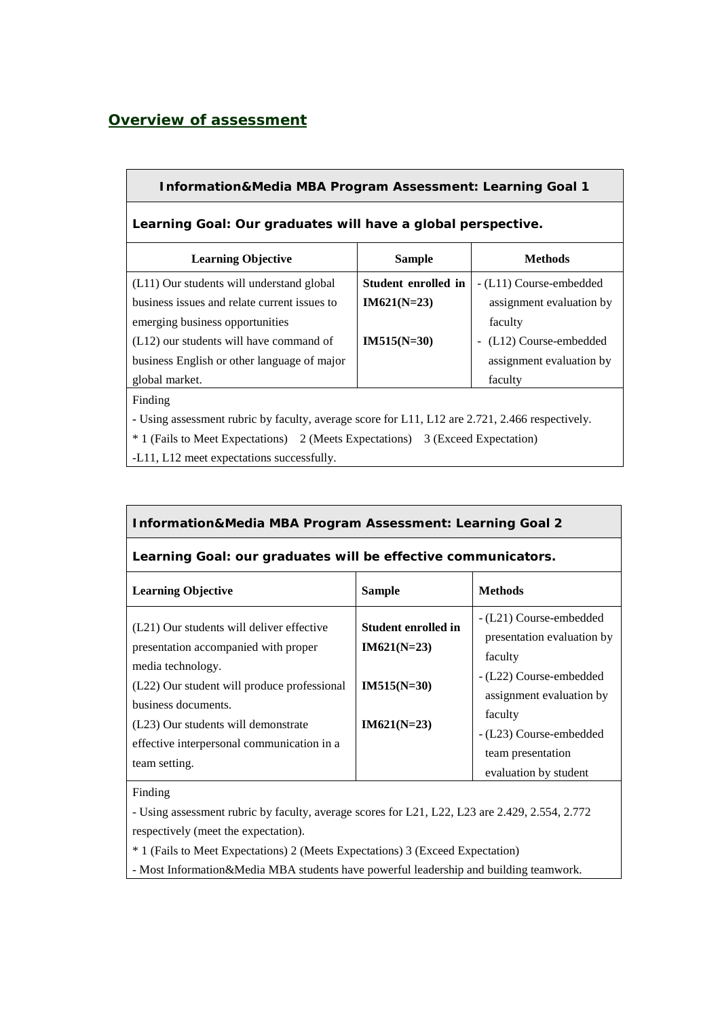## *Overview of assessment*

### **Information&Media MBA Program Assessment: Learning Goal 1**

## **Learning Goal: Our graduates will have a global perspective.**

| <b>Learning Objective</b>                                                                       | <b>Sample</b>       | <b>Methods</b>           |  |  |  |  |
|-------------------------------------------------------------------------------------------------|---------------------|--------------------------|--|--|--|--|
| (L11) Our students will understand global                                                       | Student enrolled in | - (L11) Course-embedded  |  |  |  |  |
| business issues and relate current issues to                                                    | $IM621(N=23)$       | assignment evaluation by |  |  |  |  |
| emerging business opportunities                                                                 |                     | faculty                  |  |  |  |  |
| $(L12)$ our students will have command of                                                       | $IM515(N=30)$       | - (L12) Course-embedded  |  |  |  |  |
| business English or other language of major                                                     |                     | assignment evaluation by |  |  |  |  |
| global market.                                                                                  |                     | faculty                  |  |  |  |  |
| Finding                                                                                         |                     |                          |  |  |  |  |
| - Using assessment rubric by faculty, average score for L11, L12 are 2.721, 2.466 respectively. |                     |                          |  |  |  |  |

\* 1 (Fails to Meet Expectations) 2 (Meets Expectations) 3 (Exceed Expectation)

-L11, L12 meet expectations successfully.

#### **Information&Media MBA Program Assessment: Learning Goal 2**

#### **Learning Goal: our graduates will be effective communicators.**

| <b>Learning Objective</b>                                                                              | <b>Sample</b>                        | <b>Methods</b>                                                        |
|--------------------------------------------------------------------------------------------------------|--------------------------------------|-----------------------------------------------------------------------|
| (L21) Our students will deliver effective<br>presentation accompanied with proper<br>media technology. | Student enrolled in<br>$IM621(N=23)$ | - (L21) Course-embedded<br>presentation evaluation by<br>faculty      |
| (L22) Our student will produce professional<br>business documents.                                     | $IM515(N=30)$                        | - (L22) Course-embedded<br>assignment evaluation by<br>faculty        |
| (L23) Our students will demonstrate<br>effective interpersonal communication in a<br>team setting.     | $IM621(N=23)$                        | - (L23) Course-embedded<br>team presentation<br>evaluation by student |

Finding

- Using assessment rubric by faculty, average scores for L21, L22, L23 are 2.429, 2.554, 2.772 respectively (meet the expectation).

\* 1 (Fails to Meet Expectations) 2 (Meets Expectations) 3 (Exceed Expectation)

- Most Information&Media MBA students have powerful leadership and building teamwork.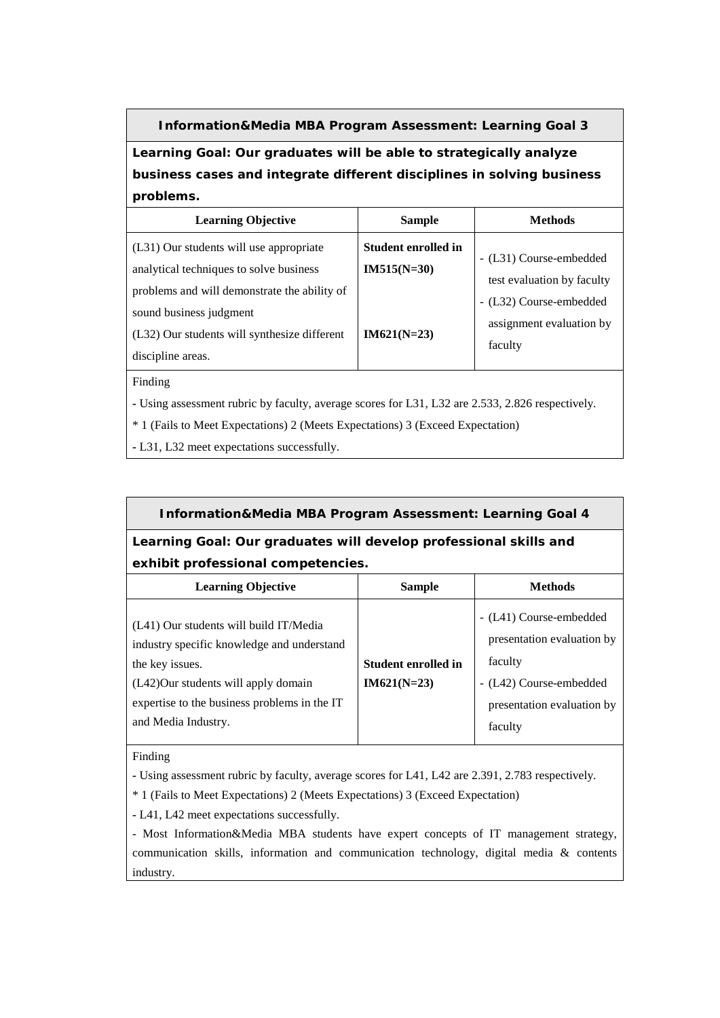**Information&Media MBA Program Assessment: Learning Goal 3**

**Learning Goal: Our graduates will be able to strategically analyze business cases and integrate different disciplines in solving business problems.**

| <b>Learning Objective</b>                                                                                                          | <b>Sample</b>                               | <b>Methods</b>                                                                   |
|------------------------------------------------------------------------------------------------------------------------------------|---------------------------------------------|----------------------------------------------------------------------------------|
| (L31) Our students will use appropriate<br>analytical techniques to solve business<br>problems and will demonstrate the ability of | <b>Student enrolled in</b><br>$IM515(N=30)$ | - (L31) Course-embedded<br>test evaluation by faculty<br>- (L32) Course-embedded |
| sound business judgment<br>(L32) Our students will synthesize different<br>discipline areas.                                       | $IM621(N=23)$                               | assignment evaluation by<br>faculty                                              |

Finding

**-** Using assessment rubric by faculty, average scores for L31, L32 are 2.533, 2.826 respectively.

\* 1 (Fails to Meet Expectations) 2 (Meets Expectations) 3 (Exceed Expectation)

**-** L31, L32 meet expectations successfully.

# **Information&Media MBA Program Assessment: Learning Goal 4**

## **Learning Goal: Our graduates will develop professional skills and exhibit professional competencies.**

| <b>Learning Objective</b>                                                                                                                                                                                             | <b>Sample</b>                               | <b>Methods</b>                                                                                                                       |
|-----------------------------------------------------------------------------------------------------------------------------------------------------------------------------------------------------------------------|---------------------------------------------|--------------------------------------------------------------------------------------------------------------------------------------|
| (L41) Our students will build IT/Media<br>industry specific knowledge and understand<br>the key issues.<br>(L42)Our students will apply domain<br>expertise to the business problems in the IT<br>and Media Industry. | <b>Student enrolled in</b><br>$IM621(N=23)$ | - (L41) Course-embedded<br>presentation evaluation by<br>faculty<br>- (L42) Course-embedded<br>presentation evaluation by<br>faculty |

Finding

**-** Using assessment rubric by faculty, average scores for L41, L42 are 2.391, 2.783 respectively.

\* 1 (Fails to Meet Expectations) 2 (Meets Expectations) 3 (Exceed Expectation)

**-** L41, L42 meet expectations successfully.

- Most Information&Media MBA students have expert concepts of IT management strategy, communication skills, information and communication technology, digital media & contents industry.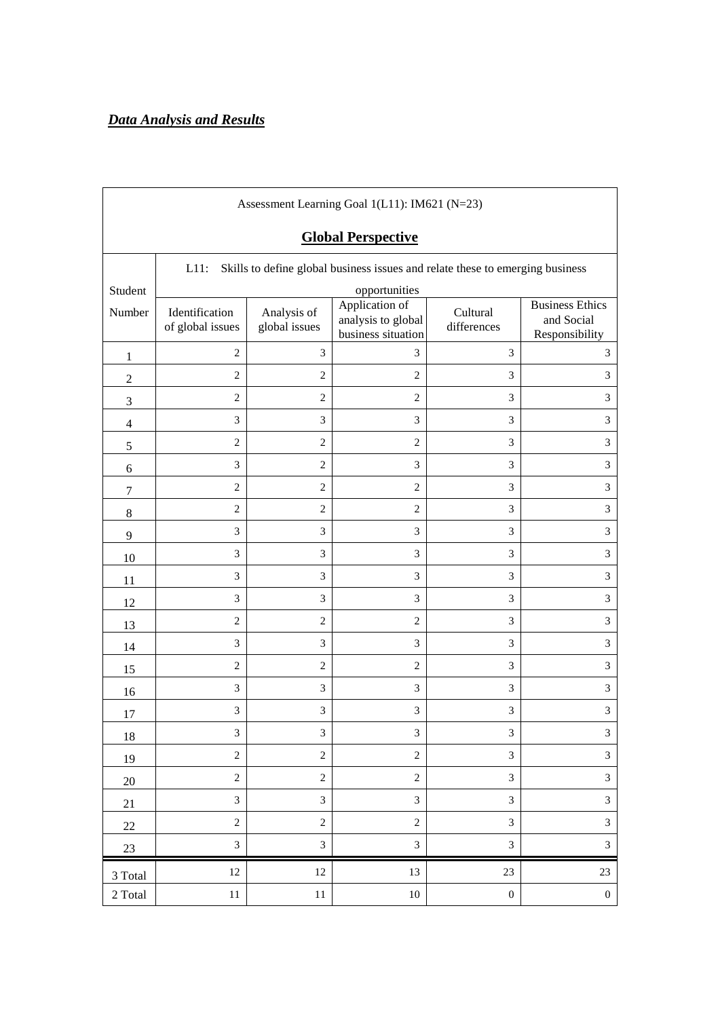| Assessment Learning Goal 1(L11): IM621 (N=23)                                            |                                    |                                                                                                                                                                                 |                |                  |                             |  |  |  |  |  |  |
|------------------------------------------------------------------------------------------|------------------------------------|---------------------------------------------------------------------------------------------------------------------------------------------------------------------------------|----------------|------------------|-----------------------------|--|--|--|--|--|--|
|                                                                                          | <b>Global Perspective</b>          |                                                                                                                                                                                 |                |                  |                             |  |  |  |  |  |  |
| $L11$ :<br>Skills to define global business issues and relate these to emerging business |                                    |                                                                                                                                                                                 |                |                  |                             |  |  |  |  |  |  |
| Student                                                                                  |                                    |                                                                                                                                                                                 | opportunities  |                  |                             |  |  |  |  |  |  |
| Number                                                                                   | Identification<br>of global issues | Application of<br><b>Business Ethics</b><br>Cultural<br>Analysis of<br>analysis to global<br>and Social<br>differences<br>global issues<br>business situation<br>Responsibility |                |                  |                             |  |  |  |  |  |  |
| 1                                                                                        | $\overline{2}$                     | 3                                                                                                                                                                               | 3              | 3                | 3                           |  |  |  |  |  |  |
| $\mathfrak{2}$                                                                           | $\mathbf{2}$                       | $\mathfrak{2}$                                                                                                                                                                  | $\overline{2}$ | 3                | 3                           |  |  |  |  |  |  |
| 3                                                                                        | $\overline{2}$                     | $\overline{c}$                                                                                                                                                                  | 2              | 3                | 3                           |  |  |  |  |  |  |
| $\overline{4}$                                                                           | 3                                  | 3                                                                                                                                                                               | 3              | 3                | 3                           |  |  |  |  |  |  |
| $\mathfrak s$                                                                            | $\overline{c}$                     | $\mathfrak{2}$                                                                                                                                                                  | $\overline{c}$ | 3                | 3                           |  |  |  |  |  |  |
| 6                                                                                        | 3                                  | 2                                                                                                                                                                               | 3              | 3                | 3                           |  |  |  |  |  |  |
| $\tau$                                                                                   | $\overline{2}$                     | $\mathbf{2}$                                                                                                                                                                    | $\overline{2}$ | 3                | 3                           |  |  |  |  |  |  |
| $8\,$                                                                                    | $\overline{2}$                     | $\mathfrak{2}$                                                                                                                                                                  | $\overline{2}$ | 3                | 3                           |  |  |  |  |  |  |
| 9                                                                                        | 3                                  | 3                                                                                                                                                                               | 3              | 3                | $\ensuremath{\mathfrak{Z}}$ |  |  |  |  |  |  |
| 10                                                                                       | 3                                  | 3                                                                                                                                                                               | 3              | 3                | $\mathfrak{Z}$              |  |  |  |  |  |  |
| 11                                                                                       | 3                                  | 3                                                                                                                                                                               | 3              | 3                | $\overline{3}$              |  |  |  |  |  |  |
| 12                                                                                       | 3                                  | 3                                                                                                                                                                               | 3              | 3                | 3                           |  |  |  |  |  |  |
| 13                                                                                       | $\overline{2}$                     | $\mathfrak{2}$                                                                                                                                                                  | $\overline{2}$ | 3                | 3                           |  |  |  |  |  |  |
| 14                                                                                       | 3                                  | 3                                                                                                                                                                               | 3              | 3                | 3                           |  |  |  |  |  |  |
| 15                                                                                       | $\overline{2}$                     | $\overline{2}$                                                                                                                                                                  | 2              | 3                | 3                           |  |  |  |  |  |  |
| 16                                                                                       | 3                                  | 3                                                                                                                                                                               | 3              | 3                | 3                           |  |  |  |  |  |  |
| 17                                                                                       | 3                                  | 3                                                                                                                                                                               | 3              | 3                | 3                           |  |  |  |  |  |  |
| 18                                                                                       | $\ensuremath{\mathfrak{Z}}$        | $\mathfrak{Z}$                                                                                                                                                                  | $\mathfrak{Z}$ | $\mathfrak{Z}$   | $\sqrt{3}$                  |  |  |  |  |  |  |
| 19                                                                                       | $\overline{c}$                     | $\sqrt{2}$                                                                                                                                                                      | $\sqrt{2}$     | $\mathfrak{Z}$   | $\overline{3}$              |  |  |  |  |  |  |
| $20\,$                                                                                   | $\sqrt{2}$                         | $\sqrt{2}$                                                                                                                                                                      | $\sqrt{2}$     | $\mathfrak{Z}$   | $\overline{3}$              |  |  |  |  |  |  |
| 21                                                                                       | $\mathfrak{Z}$                     | 3                                                                                                                                                                               | 3              | $\mathfrak{Z}$   | $\mathfrak{Z}$              |  |  |  |  |  |  |
| $22\,$                                                                                   | $\sqrt{2}$                         | $\sqrt{2}$                                                                                                                                                                      | $\sqrt{2}$     | $\mathfrak{Z}$   | $\ensuremath{\mathfrak{Z}}$ |  |  |  |  |  |  |
| $23\,$                                                                                   | $\mathfrak{Z}$                     | $\mathfrak{Z}$                                                                                                                                                                  | 3              | $\mathfrak{Z}$   | $\ensuremath{\mathfrak{Z}}$ |  |  |  |  |  |  |
| 3 Total                                                                                  | $12\,$                             | $12\,$                                                                                                                                                                          | 13             | 23               | $23\,$                      |  |  |  |  |  |  |
| 2 Total                                                                                  | $11\,$                             | $11\,$                                                                                                                                                                          | $10\,$         | $\boldsymbol{0}$ | $\boldsymbol{0}$            |  |  |  |  |  |  |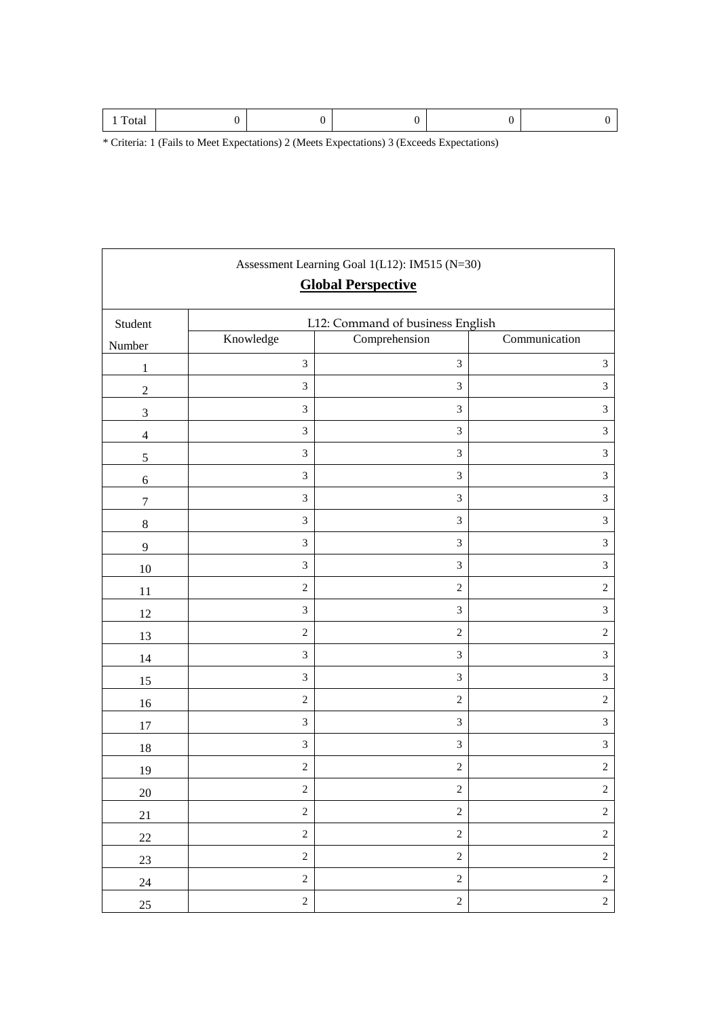$\mathbf{r}$ 

|                             |                             | Assessment Learning Goal 1(L12): IM515 (N=30)<br><b>Global Perspective</b> |                             |
|-----------------------------|-----------------------------|----------------------------------------------------------------------------|-----------------------------|
| Student                     |                             | L12: Command of business English                                           |                             |
| Number                      | Knowledge                   | Comprehension                                                              | Communication               |
| $\mathbf{1}$                | $\ensuremath{\mathfrak{Z}}$ | $\mathfrak{Z}$                                                             | $\ensuremath{\mathfrak{Z}}$ |
| $\overline{c}$              | 3                           | $\mathfrak{Z}$                                                             | $\mathfrak{Z}$              |
| $\ensuremath{\mathfrak{Z}}$ | $\mathfrak{Z}$              | 3                                                                          | $\ensuremath{\mathfrak{Z}}$ |
| $\overline{4}$              | $\ensuremath{\mathfrak{Z}}$ | $\mathfrak{Z}$                                                             | $\mathfrak{Z}$              |
| $\mathfrak s$               | $\ensuremath{\mathfrak{Z}}$ | $\mathfrak{Z}$                                                             | $\ensuremath{\mathfrak{Z}}$ |
| $\boldsymbol{6}$            | $\mathfrak{Z}$              | $\mathfrak{Z}$                                                             | $\sqrt{3}$                  |
| $\boldsymbol{7}$            | 3                           | $\mathfrak{Z}$                                                             | $\mathfrak{Z}$              |
| $\,$ 8 $\,$                 | $\mathfrak{Z}$              | $\mathfrak{Z}$                                                             | $\ensuremath{\mathfrak{Z}}$ |
| $\overline{9}$              | $\mathfrak{Z}$              | 3                                                                          | $\ensuremath{\mathfrak{Z}}$ |
| 10                          | $\mathfrak{Z}$              | $\mathfrak{Z}$                                                             | $\mathfrak{Z}$              |
| 11                          | $\sqrt{2}$                  | $\sqrt{2}$                                                                 | $\sqrt{2}$                  |
| 12                          | $\ensuremath{\mathfrak{Z}}$ | $\mathfrak{Z}$                                                             | $\ensuremath{\mathfrak{Z}}$ |
| 13                          | $\sqrt{2}$                  | $\sqrt{2}$                                                                 | $\sqrt{2}$                  |
| 14                          | 3                           | $\mathfrak{Z}$                                                             | $\sqrt{3}$                  |
| 15                          | 3                           | $\mathfrak{Z}$                                                             | $\ensuremath{\mathfrak{Z}}$ |
| 16                          | $\sqrt{2}$                  | $\sqrt{2}$                                                                 | $\sqrt{2}$                  |
| $17\,$                      | $\ensuremath{\mathfrak{Z}}$ | $\mathfrak{Z}$                                                             | $\ensuremath{\mathfrak{Z}}$ |
| 18                          | $\ensuremath{\mathfrak{Z}}$ | $\mathfrak{Z}$                                                             | $\ensuremath{\mathfrak{Z}}$ |
| 19                          | $\sqrt{2}$                  | $\sqrt{2}$                                                                 | $\sqrt{2}$                  |
| $20\,$                      | $\sqrt{2}$                  | $\sqrt{2}$                                                                 | $\sqrt{2}$                  |
| 21                          | $\sqrt{2}$                  | $\overline{c}$                                                             | $\sqrt{2}$                  |
| $22\,$                      | $\sqrt{2}$                  | $\overline{c}$                                                             | $\sqrt{2}$                  |
| 23                          | $\sqrt{2}$                  | $\overline{c}$                                                             | $\sqrt{2}$                  |
| $24\,$                      | $\sqrt{2}$                  | $\overline{c}$                                                             | $\sqrt{2}$                  |
| $25\,$                      | $\sqrt{2}$                  | $\overline{c}$                                                             | $\sqrt{2}$                  |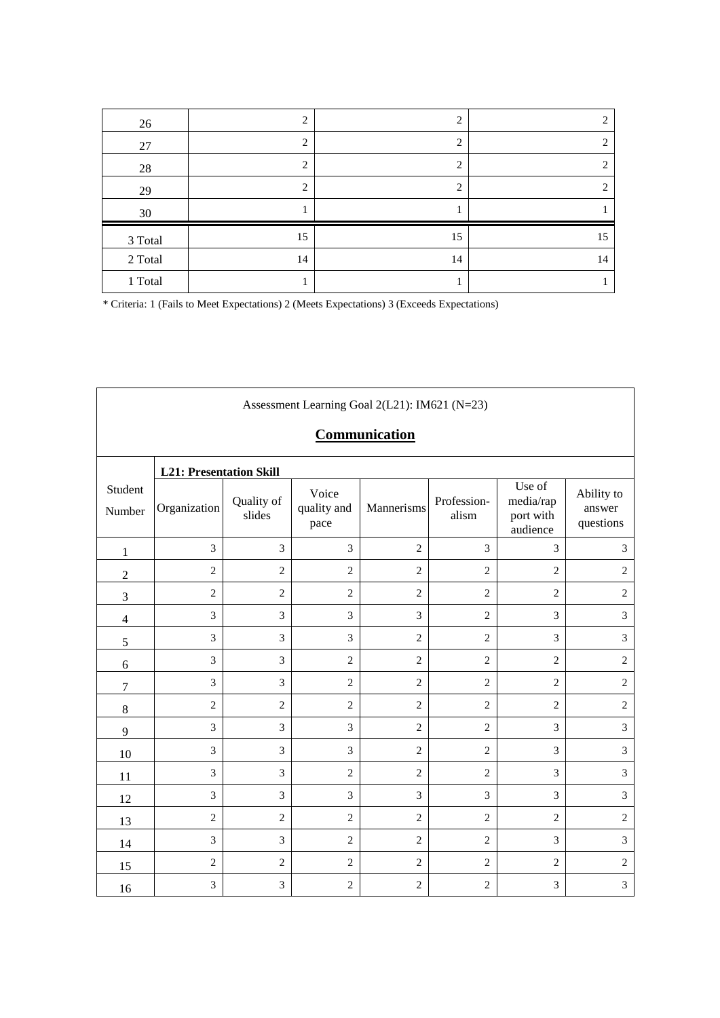| 26      | 2                             | 2  | 2  |
|---------|-------------------------------|----|----|
| 27      | C                             | 2  | 2  |
| 28      | ↑                             | 2  | ∍  |
| 29      | $\mathfrak{D}_{\mathfrak{p}}$ | 2  | ◠  |
| 30      |                               |    |    |
| 3 Total | 15                            | 15 | 15 |
| 2 Total | 14                            | 14 | 14 |
| 1 Total |                               |    |    |

| Assessment Learning Goal 2(L21): IM621 (N=23) |                                |                      |                              |                |                      |                                              |                                   |  |  |  |
|-----------------------------------------------|--------------------------------|----------------------|------------------------------|----------------|----------------------|----------------------------------------------|-----------------------------------|--|--|--|
|                                               | Communication                  |                      |                              |                |                      |                                              |                                   |  |  |  |
|                                               | <b>L21: Presentation Skill</b> |                      |                              |                |                      |                                              |                                   |  |  |  |
| Student<br>Number                             | Organization                   | Quality of<br>slides | Voice<br>quality and<br>pace | Mannerisms     | Profession-<br>alism | Use of<br>media/rap<br>port with<br>audience | Ability to<br>answer<br>questions |  |  |  |
| $\mathbf{1}$                                  | 3                              | 3                    | 3                            | $\overline{c}$ | 3                    | 3                                            | 3                                 |  |  |  |
| $\sqrt{2}$                                    | $\mathbf{2}$                   | $\overline{2}$       | $\overline{2}$               | $\overline{2}$ | $\overline{c}$       | $\overline{2}$                               | $\overline{2}$                    |  |  |  |
| $\mathfrak{Z}$                                | $\mathbf{2}$                   | $\overline{c}$       | $\overline{2}$               | $\overline{2}$ | $\overline{c}$       | $\overline{2}$                               | $\sqrt{2}$                        |  |  |  |
| $\overline{4}$                                | 3                              | 3                    | 3                            | 3              | $\overline{c}$       | $\mathfrak{Z}$                               | 3                                 |  |  |  |
| 5                                             | 3                              | 3                    | 3                            | $\overline{2}$ | $\overline{2}$       | 3                                            | 3                                 |  |  |  |
| 6                                             | 3                              | 3                    | $\overline{2}$               | $\overline{c}$ | $\mathbf{2}$         | $\mathbf{2}$                                 | $\overline{2}$                    |  |  |  |
| $\boldsymbol{7}$                              | 3                              | 3                    | $\overline{c}$               | $\mathbf{2}$   | $\mathbf{2}$         | $\overline{2}$                               | $\overline{2}$                    |  |  |  |
| $8\,$                                         | $\sqrt{2}$                     | $\overline{c}$       | $\overline{c}$               | $\overline{2}$ | $\overline{c}$       | $\overline{2}$                               | $\sqrt{2}$                        |  |  |  |
| $\overline{9}$                                | 3                              | 3                    | 3                            | $\overline{c}$ | $\overline{2}$       | 3                                            | $\mathfrak{Z}$                    |  |  |  |
| 10                                            | 3                              | 3                    | 3                            | $\overline{c}$ | $\overline{c}$       | 3                                            | $\mathfrak{Z}$                    |  |  |  |
| 11                                            | 3                              | 3                    | $\overline{2}$               | $\overline{2}$ | $\overline{c}$       | $\mathfrak{Z}$                               | $\mathfrak{Z}$                    |  |  |  |
| 12                                            | 3                              | 3                    | 3                            | 3              | 3                    | 3                                            | $\mathfrak{Z}$                    |  |  |  |
| 13                                            | $\overline{c}$                 | $\mathbf{2}$         | $\overline{2}$               | $\overline{2}$ | $\mathbf{2}$         | $\mathbf{2}$                                 | $\sqrt{2}$                        |  |  |  |
| 14                                            | 3                              | 3                    | 2                            | $\overline{c}$ | $\overline{c}$       | 3                                            | 3                                 |  |  |  |
| 15                                            | $\overline{c}$                 | $\overline{2}$       | $\overline{c}$               | $\overline{c}$ | $\mathbf{2}$         | $\overline{2}$                               | $\overline{2}$                    |  |  |  |
| 16                                            | 3                              | 3                    | $\mathbf{2}$                 | $\overline{c}$ | $\mathbf{2}$         | 3                                            | $\mathfrak{Z}$                    |  |  |  |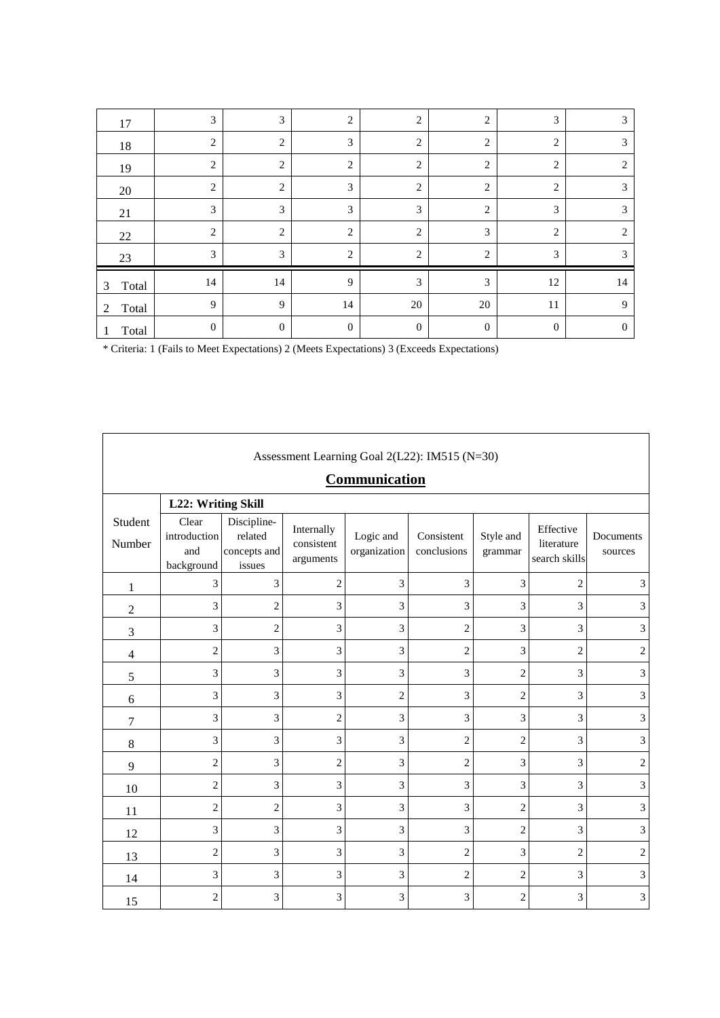| 17         | 3              | 3              | $\overline{2}$ | $\overline{2}$ | $\overline{2}$ | 3              | 3              |
|------------|----------------|----------------|----------------|----------------|----------------|----------------|----------------|
| 18         | $\overline{2}$ | $\overline{c}$ | 3              | $\overline{2}$ | $\overline{2}$ | $\overline{2}$ | 3              |
| 19         | $\overline{2}$ | $\overline{2}$ | $\overline{2}$ | 2              | $\overline{2}$ | $\overline{c}$ | 2              |
| 20         | $\overline{2}$ | $\overline{c}$ | 3              | $\overline{2}$ | $\overline{2}$ | $\overline{2}$ | 3              |
| 21         | 3              | 3              | 3              | 3              | $\overline{2}$ | $\mathfrak{Z}$ | 3              |
| 22         | $\overline{2}$ | $\overline{c}$ | $\overline{2}$ | 2              | 3              | 2              | $\overline{c}$ |
| 23         | 3              | 3              | $\overline{2}$ | 2              | $\overline{2}$ | 3              | 3              |
| Total<br>3 | 14             | 14             | 9              | 3              | 3              | 12             | 14             |
| Total<br>2 | 9              | 9              | 14             | 20             | 20             | 11             | 9              |
| Total      | $\mathbf{0}$   | $\mathbf{0}$   | $\theta$       | $\mathbf{0}$   | $\mathbf{0}$   | $\mathbf{0}$   | $\overline{0}$ |

|                   | Assessment Learning Goal 2(L22): IM515 (N=30) |                                                  |                                       |                           |                           |                      |                                          |                      |  |  |  |  |
|-------------------|-----------------------------------------------|--------------------------------------------------|---------------------------------------|---------------------------|---------------------------|----------------------|------------------------------------------|----------------------|--|--|--|--|
|                   | Communication                                 |                                                  |                                       |                           |                           |                      |                                          |                      |  |  |  |  |
|                   | L22: Writing Skill                            |                                                  |                                       |                           |                           |                      |                                          |                      |  |  |  |  |
| Student<br>Number | Clear<br>introduction<br>and<br>background    | Discipline-<br>related<br>concepts and<br>issues | Internally<br>consistent<br>arguments | Logic and<br>organization | Consistent<br>conclusions | Style and<br>grammar | Effective<br>literature<br>search skills | Documents<br>sources |  |  |  |  |
| $\mathbf{1}$      | 3                                             | 3                                                | $\sqrt{2}$                            | 3                         | 3                         | 3                    | $\mathfrak{2}$                           | 3                    |  |  |  |  |
| $\overline{c}$    | 3                                             | $\overline{c}$                                   | 3                                     | 3                         | 3                         | 3                    | 3                                        | 3                    |  |  |  |  |
| 3                 | 3                                             | $\overline{c}$                                   | 3                                     | 3                         | $\overline{2}$            | 3                    | 3                                        | 3                    |  |  |  |  |
| 4                 | $\overline{c}$                                | 3                                                | 3                                     | 3                         | $\overline{c}$            | 3                    | $\mathfrak{2}$                           | $\sqrt{2}$           |  |  |  |  |
| 5                 | 3                                             | 3                                                | 3                                     | 3                         | 3                         | $\overline{c}$       | 3                                        | $\mathfrak{Z}$       |  |  |  |  |
| 6                 | 3                                             | 3                                                | 3                                     | $\overline{2}$            | 3                         | $\overline{c}$       | 3                                        | $\mathfrak{Z}$       |  |  |  |  |
| $\overline{7}$    | 3                                             | 3                                                | $\sqrt{2}$                            | 3                         | 3                         | 3                    | 3                                        | 3                    |  |  |  |  |
| 8                 | 3                                             | 3                                                | 3                                     | 3                         | $\overline{c}$            | $\overline{c}$       | 3                                        | 3                    |  |  |  |  |
| 9                 | $\overline{2}$                                | 3                                                | $\overline{2}$                        | 3                         | $\overline{2}$            | 3                    | 3                                        | $\mathbf{2}$         |  |  |  |  |
| 10                | 2                                             | 3                                                | 3                                     | 3                         | 3                         | 3                    | 3                                        | 3                    |  |  |  |  |
| 11                | $\overline{c}$                                | $\overline{2}$                                   | 3                                     | 3                         | 3                         | $\overline{2}$       | $\overline{3}$                           | 3                    |  |  |  |  |
| 12                | 3                                             | 3                                                | 3                                     | 3                         | 3                         | $\overline{c}$       | 3                                        | $\mathfrak{Z}$       |  |  |  |  |
| 13                | $\overline{c}$                                | 3                                                | 3                                     | 3                         | $\overline{2}$            | 3                    | $\overline{2}$                           | $\sqrt{2}$           |  |  |  |  |
| 14                | 3                                             | 3                                                | 3                                     | 3                         | $\overline{2}$            | $\overline{c}$       | 3                                        | $\mathfrak{Z}$       |  |  |  |  |
| 15                | $\overline{2}$                                | 3                                                | 3                                     | 3                         | 3                         | $\overline{c}$       | 3                                        | $\overline{3}$       |  |  |  |  |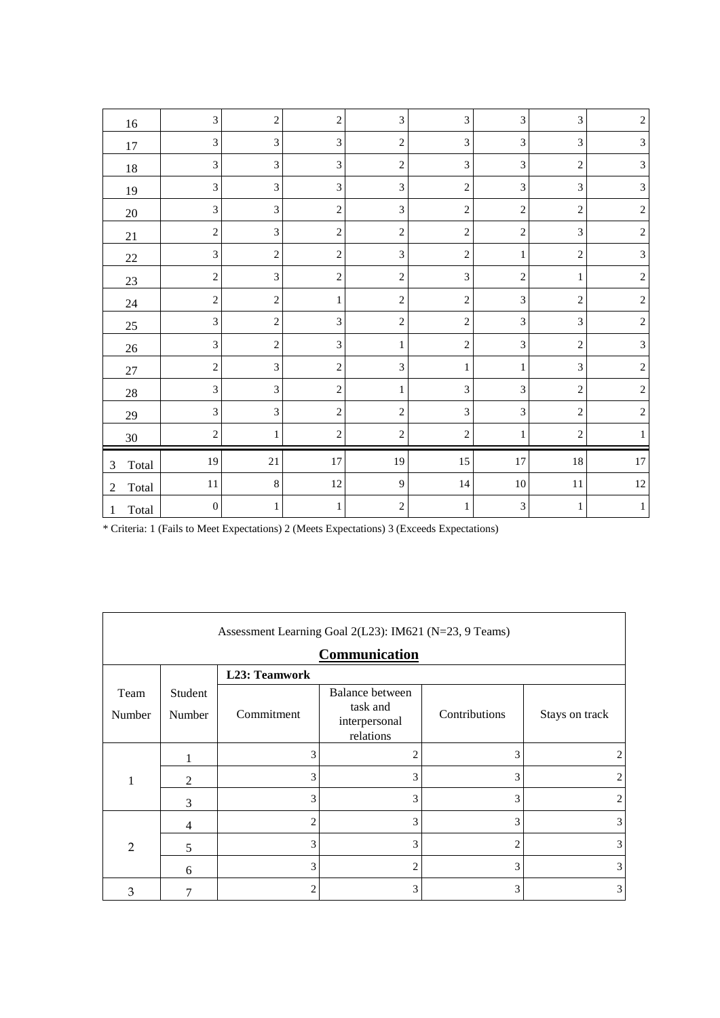| $16\,$                  | 3                | $\overline{2}$ | $\overline{2}$              | 3              | $\mathfrak{Z}$ | 3                           | 3              | $\overline{2}$ |
|-------------------------|------------------|----------------|-----------------------------|----------------|----------------|-----------------------------|----------------|----------------|
| 17                      | 3                | 3              | $\ensuremath{\mathfrak{Z}}$ | $\overline{c}$ | $\overline{3}$ | 3                           | 3              | $\mathfrak{Z}$ |
| $18\,$                  | 3                | $\mathfrak{Z}$ | $\ensuremath{\mathfrak{Z}}$ | $\overline{c}$ | $\mathfrak{Z}$ | 3                           | $\mathbf{2}$   | $\mathfrak{Z}$ |
| 19                      | 3                | $\mathfrak{Z}$ | $\mathfrak{Z}$              | 3              | $\overline{2}$ | $\mathfrak{Z}$              | 3              | $\mathfrak{Z}$ |
| $20\,$                  | 3                | $\mathfrak{Z}$ | $\overline{c}$              | 3              | $\sqrt{2}$     | $\mathbf{2}$                | $\overline{c}$ | $\sqrt{2}$     |
| 21                      | $\overline{2}$   | $\overline{3}$ | $\sqrt{2}$                  | $\overline{c}$ | $\overline{2}$ | 2                           | 3              | $\sqrt{2}$     |
| $22\,$                  | 3                | $\sqrt{2}$     | $\sqrt{2}$                  | 3              | $\sqrt{2}$     | $\mathbf{1}$                | $\overline{c}$ | $\mathfrak{Z}$ |
| $23\,$                  | $\mathfrak{2}$   | $\mathfrak{Z}$ | $\overline{c}$              | $\overline{c}$ | 3              | $\mathbf{2}$                | $\mathbf{1}$   | $\sqrt{2}$     |
| $24\,$                  | $\overline{2}$   | $\sqrt{2}$     | $\,1$                       | $\overline{c}$ | $\mathbf{2}$   | 3                           | $\overline{c}$ | $\sqrt{2}$     |
| $25\,$                  | 3                | $\sqrt{2}$     | $\sqrt{3}$                  | $\overline{c}$ | $\overline{c}$ | 3                           | 3              | $\overline{c}$ |
| $26\,$                  | 3                | $\sqrt{2}$     | $\sqrt{3}$                  | 1              | $\sqrt{2}$     | 3                           | $\mathfrak{2}$ | $\mathfrak{Z}$ |
| $27\,$                  | 2                | $\mathfrak{Z}$ | $\sqrt{2}$                  | 3              | 1              | $\mathbf{1}$                | 3              | $\overline{c}$ |
| $28\,$                  | 3                | $\mathfrak{Z}$ | $\overline{c}$              | 1              | 3              | 3                           | 2              | $\overline{c}$ |
| $29\,$                  | 3                | $\mathfrak{Z}$ | $\overline{c}$              | $\overline{c}$ | $\mathfrak{Z}$ | 3                           | $\,2$          | $\sqrt{2}$     |
| $30\,$                  | 2                | $\mathbf{1}$   | $\overline{c}$              | $\overline{c}$ | $\sqrt{2}$     | 1                           | $\overline{c}$ | 1              |
| Total<br>3              | 19               | 21             | $17\,$                      | 19             | 15             | $17\,$                      | $18\,$         | $17\,$         |
| Total<br>$\overline{2}$ | $11\,$           | $\,8\,$        | 12                          | 9              | 14             | $10\,$                      | $11\,$         | $12\,$         |
| Total<br>1              | $\boldsymbol{0}$ | $\mathbf{1}$   | $\mathbf{1}$                | $\overline{2}$ | 1              | $\ensuremath{\mathfrak{Z}}$ | 1              | $\mathbf{1}$   |

| Assessment Learning Goal 2(L23): IM621 (N=23, 9 Teams) |                   |                      |                                                           |                |                |  |  |
|--------------------------------------------------------|-------------------|----------------------|-----------------------------------------------------------|----------------|----------------|--|--|
|                                                        |                   |                      | Communication                                             |                |                |  |  |
|                                                        |                   | <b>L23: Teamwork</b> |                                                           |                |                |  |  |
| Team<br>Number                                         | Student<br>Number | Commitment           | Balance between<br>task and<br>interpersonal<br>relations | Contributions  | Stays on track |  |  |
|                                                        |                   | 3                    | 2                                                         | 3              |                |  |  |
| 1                                                      | $\overline{2}$    | 3                    | 3                                                         | 3              |                |  |  |
|                                                        | 3                 | 3                    | 3                                                         | 3              |                |  |  |
|                                                        | 4                 | $\overline{c}$       | 3                                                         | 3              | 3              |  |  |
| $\mathfrak{D}$                                         | 5                 | 3                    | 3                                                         | $\overline{c}$ | 3              |  |  |
|                                                        | 6                 | 3                    | 2                                                         | 3              | 3              |  |  |
| 3                                                      |                   | 2                    | 3                                                         | 3              | 3              |  |  |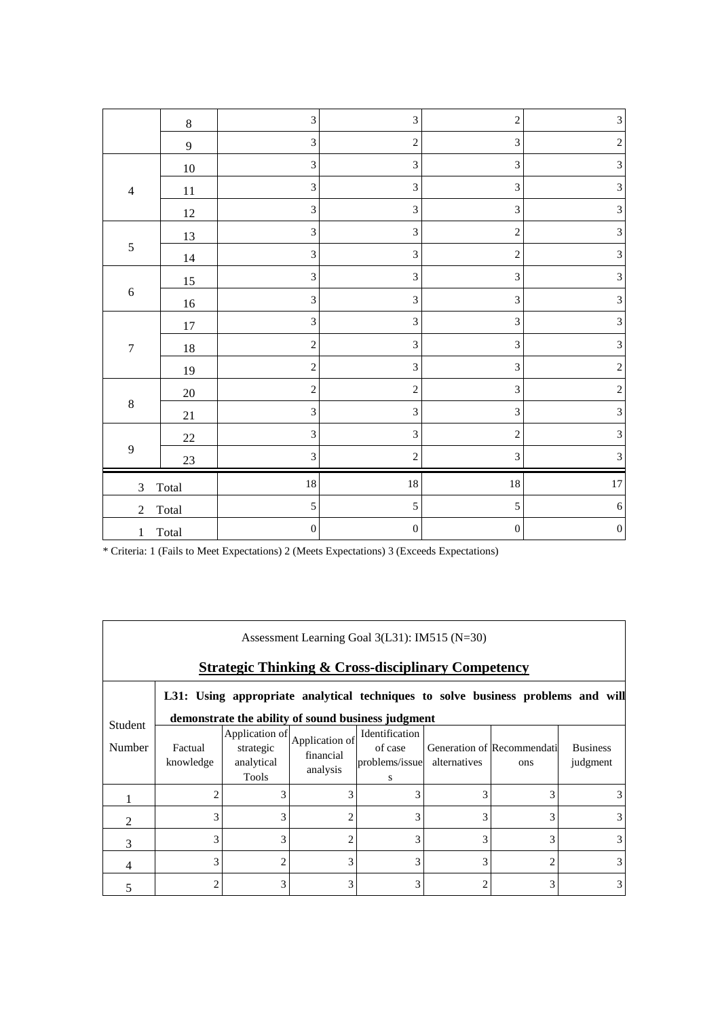|                         | $\,8\,$          | $\ensuremath{\mathfrak{Z}}$ | $\mathfrak{Z}$              | $\sqrt{2}$       | $\mathfrak{Z}$              |
|-------------------------|------------------|-----------------------------|-----------------------------|------------------|-----------------------------|
|                         | $\boldsymbol{9}$ | $\mathfrak{Z}$              | $\sqrt{2}$                  | $\mathfrak{Z}$   | $\sqrt{2}$                  |
|                         | $10\,$           | 3                           | $\mathfrak{Z}$              | $\mathfrak{Z}$   | $\ensuremath{\mathfrak{Z}}$ |
| $\overline{4}$          | 11               | $\mathfrak{Z}$              | $\sqrt{3}$                  | $\sqrt{3}$       | $\overline{3}$              |
|                         | $12\,$           | $\overline{3}$              | $\mathfrak{Z}$              | $\mathfrak{Z}$   | $\mathfrak{Z}$              |
|                         | 13               | $\mathfrak{Z}$              | $\ensuremath{\mathfrak{Z}}$ | $\sqrt{2}$       | $\ensuremath{\mathfrak{Z}}$ |
| $\sqrt{5}$              | $14\,$           | 3                           | $\mathfrak{Z}$              | $\sqrt{2}$       | $\ensuremath{\mathfrak{Z}}$ |
|                         | $15\,$           | $\mathfrak{Z}$              | $\ensuremath{\mathfrak{Z}}$ | $\mathfrak{Z}$   | $\sqrt{3}$                  |
| $\sqrt{6}$              | $16\,$           | $\mathfrak{Z}$              | $\mathfrak{Z}$              | $\mathfrak{Z}$   | $\mathfrak{Z}$              |
|                         | $17\,$           | $\mathfrak{Z}$              | $\ensuremath{\mathfrak{Z}}$ | $\sqrt{3}$       | $\mathfrak{Z}$              |
| $\boldsymbol{7}$        | $18\,$           | $\overline{c}$              | 3                           | $\overline{3}$   | $\overline{3}$              |
|                         | 19               | $\sqrt{2}$                  | $\ensuremath{\mathfrak{Z}}$ | $\mathfrak{Z}$   | $\sqrt{2}$                  |
|                         | $20\,$           | $\sqrt{2}$                  | $\overline{c}$              | $\mathfrak{Z}$   | $\overline{c}$              |
| $\,8\,$                 | $21\,$           | $\mathfrak{Z}$              | $\ensuremath{\mathfrak{Z}}$ | $\mathfrak{Z}$   | $\sqrt{3}$                  |
|                         | $22\,$           | $\mathfrak{Z}$              | $\ensuremath{\mathfrak{Z}}$ | $\sqrt{2}$       | $\mathfrak{Z}$              |
| $\mathbf{9}$            | $23\,$           | $\mathfrak{Z}$              | $\overline{c}$              | $\mathfrak 3$    | $\ensuremath{\mathfrak{Z}}$ |
| $\mathfrak{Z}$<br>Total |                  | $18\,$                      | $18\,$                      | $18\,$           | $17\,$                      |
| $\sqrt{2}$              | Total            | $\mathfrak s$               | $\sqrt{5}$                  | 5                | $\sqrt{6}$                  |
| Total<br>$\mathbf{1}$   |                  | $\boldsymbol{0}$            | $\boldsymbol{0}$            | $\boldsymbol{0}$ | $\boldsymbol{0}$            |

| Assessment Learning Goal 3(L31): IM515 (N=30) |                                                                                  |                                                    |                                         |                                                  |                |                                   |                             |  |  |
|-----------------------------------------------|----------------------------------------------------------------------------------|----------------------------------------------------|-----------------------------------------|--------------------------------------------------|----------------|-----------------------------------|-----------------------------|--|--|
|                                               | <b>Strategic Thinking &amp; Cross-disciplinary Competency</b>                    |                                                    |                                         |                                                  |                |                                   |                             |  |  |
|                                               | L31: Using appropriate analytical techniques to solve business problems and will |                                                    |                                         |                                                  |                |                                   |                             |  |  |
| <b>Student</b>                                |                                                                                  | demonstrate the ability of sound business judgment |                                         |                                                  |                |                                   |                             |  |  |
| Number                                        | Factual<br>knowledge                                                             | Application of<br>strategic<br>analytical<br>Tools | Application of<br>financial<br>analysis | Identification<br>of case<br>problems/issue<br>s | alternatives   | Generation of Recommendati<br>ons | <b>Business</b><br>judgment |  |  |
|                                               | 2                                                                                | 3                                                  | 3                                       | 3                                                | 3              | 3                                 |                             |  |  |
|                                               | 3                                                                                | 3                                                  | 2                                       | 3                                                | 3              | 3                                 |                             |  |  |
| 3                                             | 3                                                                                | 3                                                  | 2                                       | 3                                                | 3              | 3                                 |                             |  |  |
| 4                                             | 3                                                                                | 2                                                  | 3                                       | 3                                                | 3              | 2                                 |                             |  |  |
|                                               | $\overline{2}$                                                                   | 3                                                  | 3                                       | 3                                                | $\overline{c}$ | 3                                 | 3                           |  |  |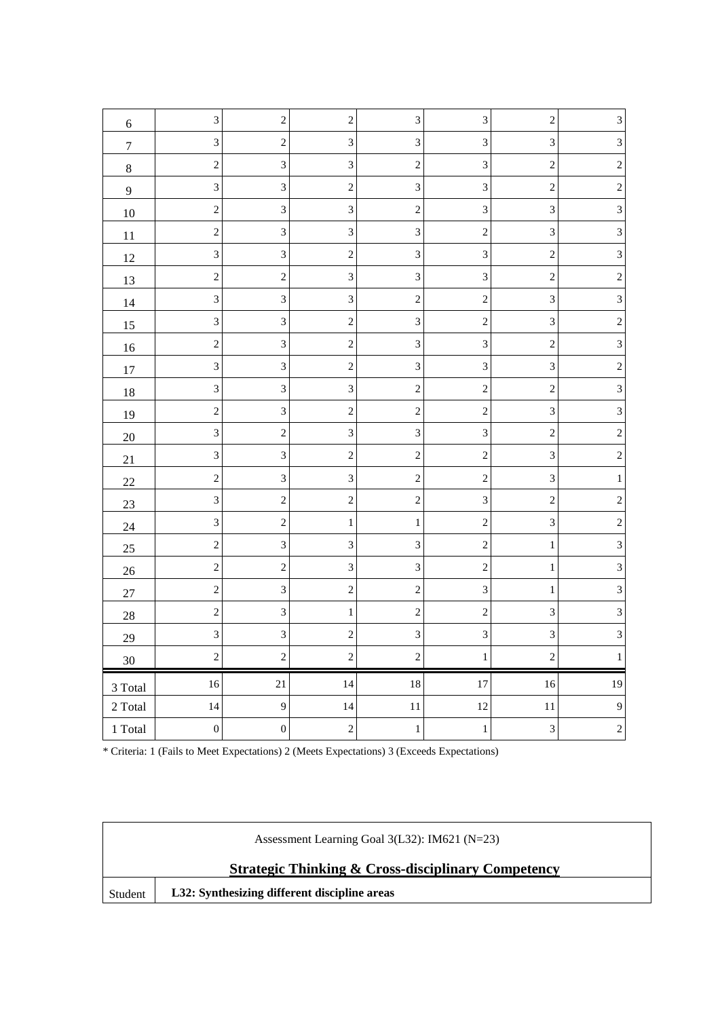| $\sqrt{6}$          | $\ensuremath{\mathfrak{Z}}$ | $\sqrt{2}$       | $\sqrt{2}$                  | $\ensuremath{\mathfrak{Z}}$ | $\sqrt{3}$     | $\sqrt{2}$                  | $\ensuremath{\mathfrak{Z}}$ |
|---------------------|-----------------------------|------------------|-----------------------------|-----------------------------|----------------|-----------------------------|-----------------------------|
| $\boldsymbol{7}$    | $\mathfrak 3$               | $\sqrt{2}$       | 3                           | $\ensuremath{\mathfrak{Z}}$ | $\overline{3}$ | $\mathfrak{Z}$              | $\sqrt{3}$                  |
| $8\,$               | $\sqrt{2}$                  | $\mathfrak{Z}$   | $\ensuremath{\mathfrak{Z}}$ | $\overline{2}$              | $\sqrt{3}$     | $\sqrt{2}$                  | $\sqrt{2}$                  |
| $\mathbf{9}$        | $\overline{3}$              | 3                | $\sqrt{2}$                  | $\overline{\mathbf{3}}$     | 3              | $\sqrt{2}$                  | $\sqrt{2}$                  |
| 10                  | $\sqrt{2}$                  | $\mathfrak{Z}$   | $\mathfrak{Z}$              | $\sqrt{2}$                  | $\sqrt{3}$     | $\mathfrak 3$               | $\ensuremath{\mathfrak{Z}}$ |
| 11                  | $\sqrt{2}$                  | $\overline{3}$   | $\sqrt{3}$                  | $\mathfrak{Z}$              | $\sqrt{2}$     | $\ensuremath{\mathfrak{Z}}$ | $\sqrt{3}$                  |
| 12                  | $\mathfrak{Z}$              | $\overline{3}$   | $\sqrt{2}$                  | $\mathfrak{Z}$              | $\mathfrak 3$  | $\sqrt{2}$                  | $\mathfrak 3$               |
| 13                  | $\sqrt{2}$                  | $\overline{c}$   | $\ensuremath{\mathfrak{Z}}$ | 3                           | $\mathfrak{Z}$ | $\sqrt{2}$                  | $\overline{c}$              |
| 14                  | $\mathfrak{Z}$              | $\mathfrak{Z}$   | $\mathfrak{Z}$              | $\overline{2}$              | $\sqrt{2}$     | $\mathfrak 3$               | $\ensuremath{\mathfrak{Z}}$ |
| 15                  | $\overline{3}$              | $\overline{3}$   | $\sqrt{2}$                  | $\mathfrak{Z}$              | $\sqrt{2}$     | $\ensuremath{\mathfrak{Z}}$ | $\overline{c}$              |
| 16                  | $\sqrt{2}$                  | $\mathfrak{Z}$   | $\sqrt{2}$                  | $\mathfrak{Z}$              | 3              | $\sqrt{2}$                  | $\overline{3}$              |
| 17                  | $\ensuremath{\mathfrak{Z}}$ | $\mathfrak{Z}$   | $\sqrt{2}$                  | $\mathfrak{Z}$              | $\sqrt{3}$     | $\ensuremath{\mathfrak{Z}}$ | $\overline{c}$              |
| 18                  | $\mathfrak 3$               | $\mathfrak 3$    | $\sqrt{3}$                  | $\sqrt{2}$                  | $\overline{c}$ | $\sqrt{2}$                  | $\sqrt{3}$                  |
| 19                  | $\overline{\mathbf{c}}$     | $\overline{3}$   | $\sqrt{2}$                  | $\sqrt{2}$                  | $\overline{c}$ | $\mathfrak{Z}$              | $\overline{3}$              |
| $20\,$              | $\sqrt{3}$                  | $\sqrt{2}$       | $\ensuremath{\mathfrak{Z}}$ | $\mathfrak{Z}$              | $\mathfrak{Z}$ | $\sqrt{2}$                  | $\sqrt{2}$                  |
| 21                  | $\mathfrak{Z}$              | $\mathfrak{Z}$   | $\sqrt{2}$                  | $\sqrt{2}$                  | $\sqrt{2}$     | $\ensuremath{\mathfrak{Z}}$ | $\sqrt{2}$                  |
| $22\,$              | $\overline{c}$              | $\mathfrak{Z}$   | $\sqrt{3}$                  | $\sqrt{2}$                  | $\sqrt{2}$     | $\sqrt{3}$                  | $\mathbf{1}$                |
| 23                  | $\mathfrak{Z}$              | $\sqrt{2}$       | $\sqrt{2}$                  | $\overline{2}$              | $\sqrt{3}$     | $\sqrt{2}$                  | $\sqrt{2}$                  |
| 24                  | $\mathfrak{Z}$              | $\sqrt{2}$       | $\mathbf{1}$                | 1                           | $\sqrt{2}$     | $\ensuremath{\mathfrak{Z}}$ | $\sqrt{2}$                  |
| 25                  | $\sqrt{2}$                  | $\mathfrak{Z}$   | $\ensuremath{\mathfrak{Z}}$ | $\mathfrak{Z}$              | $\overline{c}$ | $\mathbf{1}$                | $\sqrt{3}$                  |
| $26\,$              | $\sqrt{2}$                  | $\sqrt{2}$       | $\ensuremath{\mathfrak{Z}}$ | 3                           | $\sqrt{2}$     | $\mathbf{1}$                | $\mathfrak 3$               |
| $27\,$              | $\sqrt{2}$                  | $\mathfrak{Z}$   | $\sqrt{2}$                  | $\overline{2}$              | $\sqrt{3}$     | $\mathbf{1}$                | $\sqrt{3}$                  |
| 28                  | $\sqrt{2}$                  | $\overline{3}$   | $\mathbf{1}$                | $\sqrt{2}$                  | $\overline{c}$ | $\mathfrak{Z}$              | $\overline{3}$              |
| 29                  | 3                           | 3                | $\overline{c}$              | $\mathfrak{Z}$              | 3              | $\ensuremath{\mathfrak{Z}}$ | $\overline{3}$              |
| $30\,$              | $\sqrt{2}$                  | $\overline{c}$   | $\sqrt{2}$                  | $\sqrt{2}$                  | $\,1$          | $\sqrt{2}$                  | $\mathbf{1}$                |
| $3$ Total $\,$      | $16\,$                      | 21               | 14                          | $18\,$                      | $17\,$         | $16\,$                      | 19                          |
| $2\ \mathrm{Total}$ | 14                          | 9                | 14                          | $11\,$                      | 12             | $11\,$                      | $\overline{9}$              |
| $1\ \mathrm{Total}$ | $\boldsymbol{0}$            | $\boldsymbol{0}$ | $\sqrt{2}$                  | $\,1$                       | $\,1$          | $\ensuremath{\mathfrak{Z}}$ | $\sqrt{2}$                  |

|         | Assessment Learning Goal 3(L32): IM621 (N=23)                 |  |  |  |  |  |
|---------|---------------------------------------------------------------|--|--|--|--|--|
|         | <b>Strategic Thinking &amp; Cross-disciplinary Competency</b> |  |  |  |  |  |
| Student | L32: Synthesizing different discipline areas                  |  |  |  |  |  |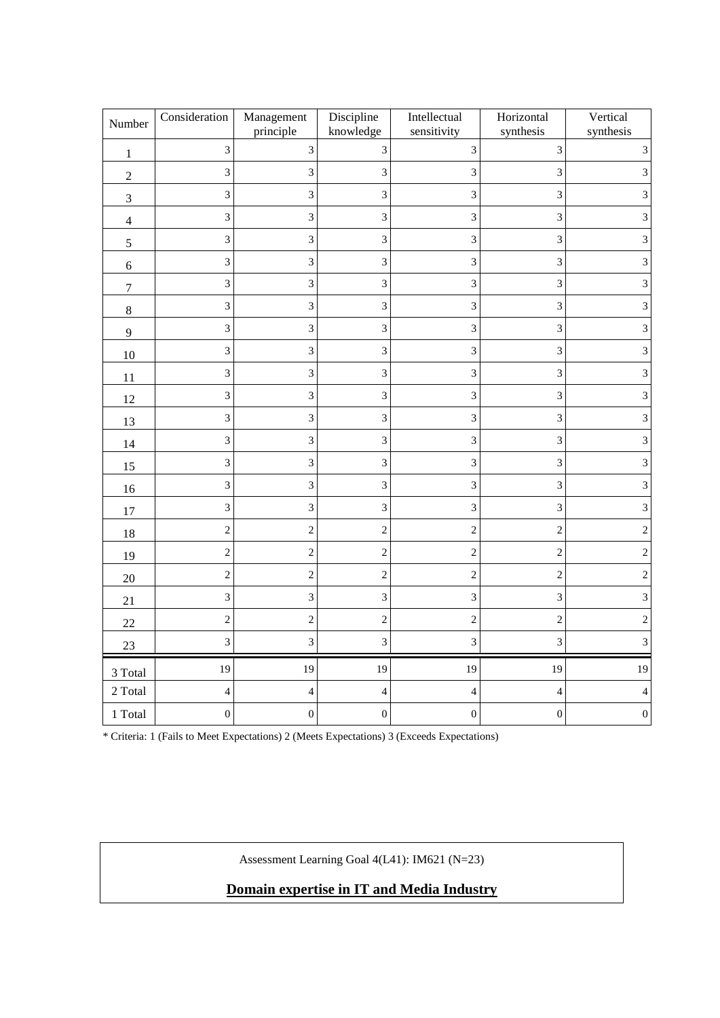| Number           | Consideration            | Management<br>principle | Discipline<br>knowledge | Intellectual<br>sensitivity | Horizontal<br>synthesis  | Vertical<br>synthesis |
|------------------|--------------------------|-------------------------|-------------------------|-----------------------------|--------------------------|-----------------------|
| $1\,$            | 3                        | $\overline{3}$          | 3                       | $\overline{3}$              | $\overline{3}$           | 3                     |
| $\sqrt{2}$       | 3                        | 3                       | 3                       | $\sqrt{3}$                  | 3                        | 3                     |
| $\mathfrak{Z}$   | 3                        | $\overline{3}$          | 3                       | $\mathfrak{Z}$              | 3                        | 3                     |
| $\overline{4}$   | $\overline{3}$           | 3                       | 3                       | $\mathfrak{Z}$              | 3                        | 3                     |
| 5                | 3                        | $\overline{3}$          | 3                       | $\mathfrak{Z}$              | 3                        | 3                     |
| $\sqrt{6}$       | $\mathfrak{Z}$           | $\mathfrak{Z}$          | 3                       | $\mathfrak{Z}$              | 3                        | 3                     |
| $\boldsymbol{7}$ | 3                        | $\overline{\mathbf{3}}$ | 3                       | $\overline{3}$              | $\overline{3}$           | 3                     |
| $\,8\,$          | 3                        | $\overline{\mathbf{3}}$ | 3                       | $\overline{3}$              | 3                        | 3                     |
| $\overline{9}$   | 3                        | $\overline{3}$          | 3                       | $\mathfrak{Z}$              | 3                        | 3                     |
| 10               | 3                        | $\overline{3}$          | 3                       | $\mathfrak{Z}$              | 3                        | 3                     |
| 11               | $\overline{3}$           | $\mathfrak{Z}$          | 3                       | $\mathfrak{Z}$              | 3                        | 3                     |
| 12               | 3                        | 3                       | 3                       | $\mathfrak{Z}$              | 3                        | 3                     |
| 13               | $\overline{3}$           | $\sqrt{3}$              | 3                       | $\sqrt{3}$                  | 3                        | 3                     |
| 14               | $\overline{3}$           | $\overline{\mathbf{3}}$ | 3                       | $\overline{3}$              | $\overline{3}$           | 3                     |
| 15               | 3                        | 3                       | 3                       | 3                           | 3                        | 3                     |
| 16               | 3                        | $\overline{3}$          | 3                       | $\mathfrak{Z}$              | $\overline{3}$           | 3                     |
| 17               | $\overline{3}$           | 3                       | 3                       | $\mathfrak{Z}$              | 3                        | 3                     |
| 18               | $\overline{c}$           | $\overline{c}$          | $\overline{c}$          | $\overline{c}$              | $\sqrt{2}$               | $\overline{2}$        |
| 19               | $\overline{c}$           | $\overline{c}$          | $\overline{\mathbf{c}}$ | $\overline{c}$              | $\overline{c}$           | $\mathbf{2}$          |
| $20\,$           | $\overline{c}$           | $\overline{c}$          | $\overline{c}$          | $\sqrt{2}$                  | $\sqrt{2}$               | $\overline{2}$        |
| 21               | $\overline{3}$           | $\overline{3}$          | 3                       | $\mathfrak{Z}$              | 3                        | 3                     |
| 22               | $\overline{c}$           | $\overline{c}$          | $\overline{c}$          | $\overline{c}$              | $\overline{c}$           | $\overline{2}$        |
| $23\,$           | $\overline{3}$           | $\overline{3}$          | 3                       | $\overline{3}$              | $\overline{3}$           | 3                     |
| 3 Total          | 19                       | 19                      | 19                      | 19                          | 19                       | 19                    |
| 2 Total          | $\overline{\mathcal{L}}$ | $\overline{4}$          | $\overline{4}$          | $\overline{4}$              | $\overline{\mathcal{L}}$ | 4                     |
| 1 Total          | $\boldsymbol{0}$         | $\boldsymbol{0}$        | $\boldsymbol{0}$        | $\boldsymbol{0}$            | $\boldsymbol{0}$         | $\boldsymbol{0}$      |

Assessment Learning Goal 4(L41): IM621 (N=23)

**Domain expertise in IT and Media Industry**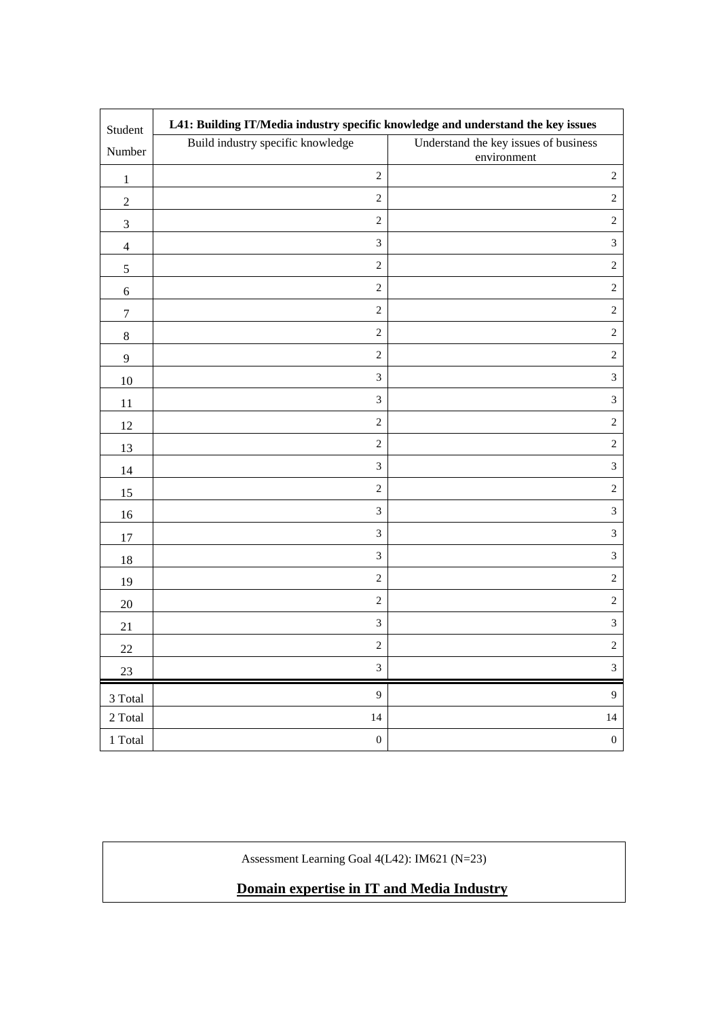| Student             | L41: Building IT/Media industry specific knowledge and understand the key issues |                                                      |
|---------------------|----------------------------------------------------------------------------------|------------------------------------------------------|
| Number              | Build industry specific knowledge                                                | Understand the key issues of business<br>environment |
| $\mathbf{1}$        | $\sqrt{2}$                                                                       | $\sqrt{2}$                                           |
| $\boldsymbol{2}$    | $\sqrt{2}$                                                                       | $\sqrt{2}$                                           |
| $\mathfrak{Z}$      | $\sqrt{2}$                                                                       | $\sqrt{2}$                                           |
| $\overline{4}$      | $\mathfrak{Z}$                                                                   | $\mathfrak{Z}$                                       |
| 5                   | $\sqrt{2}$                                                                       | $\sqrt{2}$                                           |
| $6\,$               | $\sqrt{2}$                                                                       | $\sqrt{2}$                                           |
| $\tau$              | $\sqrt{2}$                                                                       | $\sqrt{2}$                                           |
|                     | $\sqrt{2}$                                                                       | $\sqrt{2}$                                           |
| $8\,$               | $\sqrt{2}$                                                                       | $\sqrt{2}$                                           |
| 9<br>10             | 3                                                                                | $\mathfrak{Z}$                                       |
|                     | $\mathfrak{Z}$                                                                   | $\mathfrak{Z}$                                       |
| 11                  | $\sqrt{2}$                                                                       | $\sqrt{2}$                                           |
| 12                  | $\sqrt{2}$                                                                       | $\sqrt{2}$                                           |
| 13                  | $\mathfrak{Z}$                                                                   | $\mathfrak{Z}$                                       |
| 14                  | $\sqrt{2}$                                                                       | $\sqrt{2}$                                           |
| 15                  | 3                                                                                | $\mathfrak{Z}$                                       |
| 16                  | $\mathfrak{Z}$                                                                   | $\mathfrak{Z}$                                       |
| 17                  | $\mathfrak{Z}$                                                                   | $\mathfrak{Z}$                                       |
| 18                  | $\sqrt{2}$                                                                       | $\sqrt{2}$                                           |
| 19                  | $\sqrt{2}$                                                                       | $\sqrt{2}$                                           |
| $20\,$              | $\ensuremath{\mathfrak{Z}}$                                                      | $\mathfrak{Z}$                                       |
| 21                  | $\sqrt{2}$                                                                       | $\sqrt{2}$                                           |
| 22                  | $\sqrt{3}$                                                                       | $\mathfrak{Z}$                                       |
| 23                  |                                                                                  |                                                      |
| 3 Total             | $\overline{9}$                                                                   | 9                                                    |
| 2 Total             | 14                                                                               | $14$                                                 |
| $1\ \mathrm{Total}$ | $\boldsymbol{0}$                                                                 | $\boldsymbol{0}$                                     |

Assessment Learning Goal 4(L42): IM621 (N=23)

**Domain expertise in IT and Media Industry**